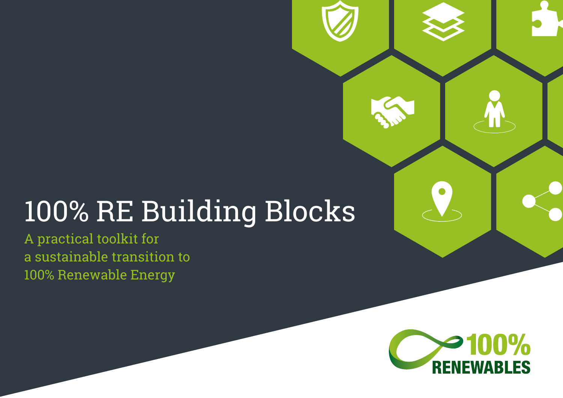# 100% RE Building Blocks

A practical toolkit for a sustainable transition to 100% Renewable Energy

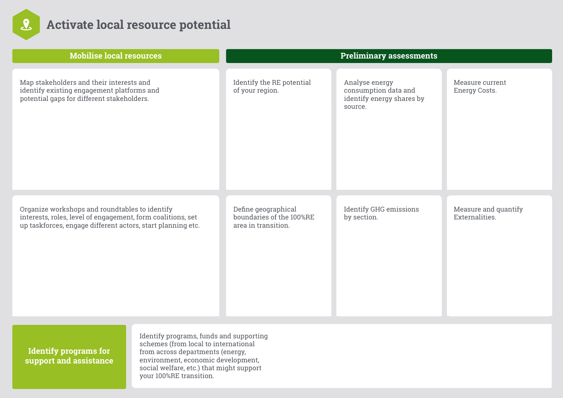

| <b>Mobilise local resources</b>                                                                                                                                              |                                                                        | <b>Preliminary assessments</b>                                                 |                                        |
|------------------------------------------------------------------------------------------------------------------------------------------------------------------------------|------------------------------------------------------------------------|--------------------------------------------------------------------------------|----------------------------------------|
| Map stakeholders and their interests and<br>identify existing engagement platforms and<br>potential gaps for different stakeholders.                                         | Identify the RE potential<br>of your region.                           | Analyse energy<br>consumption data and<br>identify energy shares by<br>source. | Measure current<br>Energy Costs.       |
| Organize workshops and roundtables to identify<br>interests, roles, level of engagement, form coalitions, set<br>up taskforces, engage different actors, start planning etc. | Define geographical<br>boundaries of the 100%RE<br>area in transition. | <b>Identify GHG emissions</b><br>by section.                                   | Measure and quantify<br>Externalities. |

**Identify programs for support and assistance** Identify programs, funds and supporting schemes (from local to international from across departments (energy, environment, economic development, social welfare, etc.) that might support your 100%RE transition.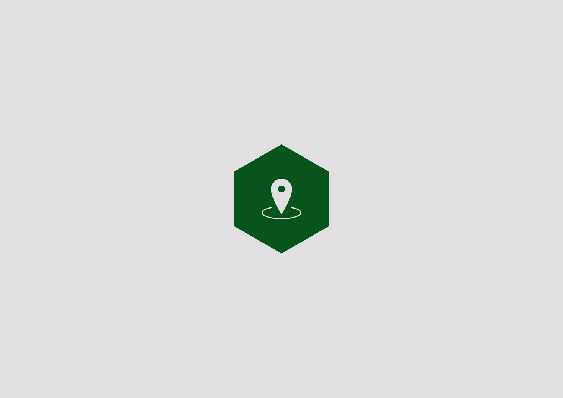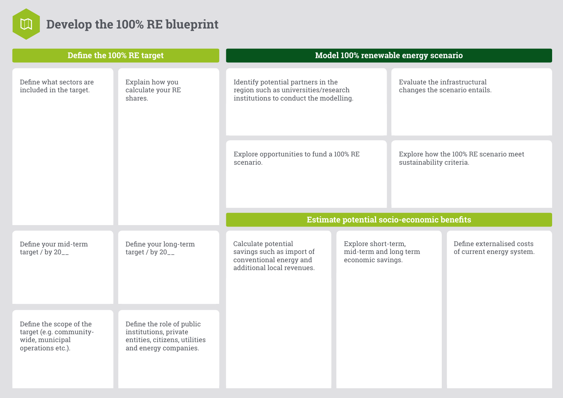

| Define the 100% RE target                                                                  |                                                                                                              | Model 100% renewable energy scenario                                                                                                                                         |                                                                    |                                                                   |                                                        |  |
|--------------------------------------------------------------------------------------------|--------------------------------------------------------------------------------------------------------------|------------------------------------------------------------------------------------------------------------------------------------------------------------------------------|--------------------------------------------------------------------|-------------------------------------------------------------------|--------------------------------------------------------|--|
| Define what sectors are<br>included in the target.                                         | Explain how you<br>calculate your RE<br>shares.                                                              | Identify potential partners in the<br>region such as universities/research<br>institutions to conduct the modelling.<br>Explore opportunities to fund a 100% RE<br>scenario. |                                                                    | Evaluate the infrastructural                                      | changes the scenario entails.                          |  |
|                                                                                            |                                                                                                              |                                                                                                                                                                              |                                                                    | Explore how the 100% RE scenario meet<br>sustainability criteria. |                                                        |  |
|                                                                                            |                                                                                                              |                                                                                                                                                                              | <b>Estimate potential socio-economic benefits</b>                  |                                                                   |                                                        |  |
| Define your mid-term<br>target / by $20_{--}$                                              | Define your long-term<br>target / by $20_{--}$                                                               | Calculate potential<br>savings such as import of<br>conventional energy and<br>additional local revenues.                                                                    | Explore short-term,<br>mid-term and long term<br>economic savings. |                                                                   | Define externalised costs<br>of current energy system. |  |
| Define the scope of the<br>target (e.g. community-<br>wide, municipal<br>operations etc.). | Define the role of public<br>institutions, private<br>entities, citizens, utilities<br>and energy companies. |                                                                                                                                                                              |                                                                    |                                                                   |                                                        |  |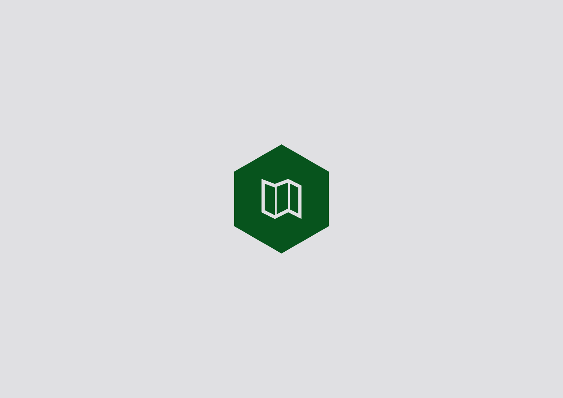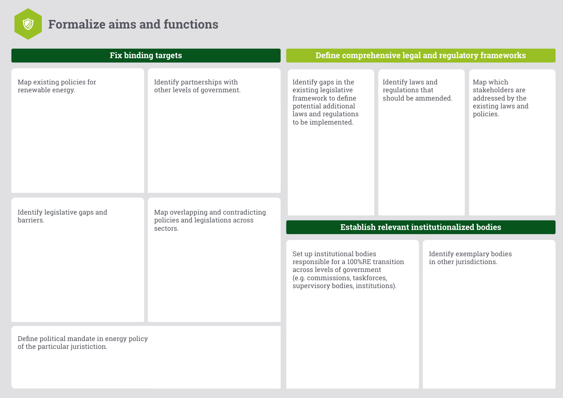

| <b>Fix binding targets</b>                                                   |                                                                                   | Define comprehensive legal and regulatory frameworks                                                                                                                                                                                                                             |  |                                                                                     |  |
|------------------------------------------------------------------------------|-----------------------------------------------------------------------------------|----------------------------------------------------------------------------------------------------------------------------------------------------------------------------------------------------------------------------------------------------------------------------------|--|-------------------------------------------------------------------------------------|--|
| Map existing policies for<br>renewable energy.                               | Identify partnerships with<br>other levels of government.                         | Identify gaps in the<br>Identify laws and<br>regulations that<br>existing legislative<br>framework to define<br>should be ammended.<br>potential additional<br>laws and regulations<br>to be implemented.                                                                        |  | Map which<br>stakeholders are<br>addressed by the<br>existing laws and<br>policies. |  |
| Identify legislative gaps and<br>barriers.                                   | Map overlapping and contradicting<br>policies and legislations across<br>sectors. | Establish relevant institutionalized bodies<br>Set up institutional bodies<br>Identify exemplary bodies<br>responsible for a 100%RE transition<br>in other jurisdictions.<br>across levels of government<br>(e.g. commissions, taskforces,<br>supervisory bodies, institutions). |  |                                                                                     |  |
| Define political mandate in energy policy<br>of the particular juristiction. |                                                                                   |                                                                                                                                                                                                                                                                                  |  |                                                                                     |  |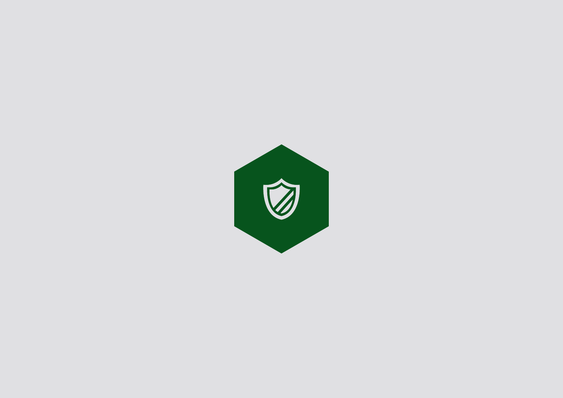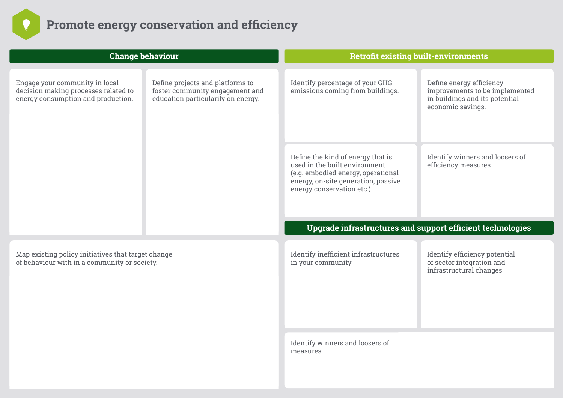

## **Promote energy conservation and efficiency**

|                                                                                                              | <b>Change behaviour</b>                                                                                   | <b>Retrofit existing built-environments</b>                                                                                                                                   |                                                                                                                   |  |  |
|--------------------------------------------------------------------------------------------------------------|-----------------------------------------------------------------------------------------------------------|-------------------------------------------------------------------------------------------------------------------------------------------------------------------------------|-------------------------------------------------------------------------------------------------------------------|--|--|
| Engage your community in local<br>decision making processes related to<br>energy consumption and production. | Define projects and platforms to<br>foster community engagement and<br>education particularily on energy. | Identify percentage of your GHG<br>emissions coming from buildings.                                                                                                           | Define energy efficiency<br>improvements to be implemented<br>in buildings and its potential<br>economic savings. |  |  |
|                                                                                                              |                                                                                                           | Define the kind of energy that is<br>used in the built environment<br>(e.g. embodied energy, operational<br>energy, on-site generation, passive<br>energy conservation etc.). | Identify winners and loosers of<br>efficiency measures.                                                           |  |  |
|                                                                                                              |                                                                                                           |                                                                                                                                                                               | Upgrade infrastructures and support efficient technologies                                                        |  |  |
| Map existing policy initiatives that target change<br>of behaviour with in a community or society.           |                                                                                                           | Identify inefficient infrastructures<br>in your community.                                                                                                                    | Identify efficiency potential<br>of sector integration and<br>infrastructural changes.                            |  |  |
|                                                                                                              |                                                                                                           | Identify winners and loosers of<br>measures.                                                                                                                                  |                                                                                                                   |  |  |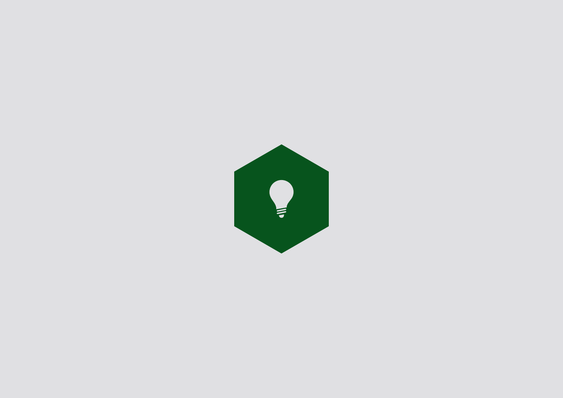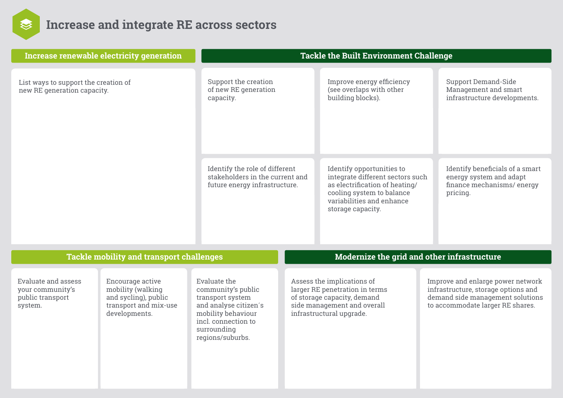

### **Increase and integrate RE across sectors**

|                                                                        | Increase renewable electricity generation                                                               |                                                                                                                                                                 |  | <b>Tackle the Built Environment Challenge</b>                                                                                                                                  |                                                                                                                                                  |  |
|------------------------------------------------------------------------|---------------------------------------------------------------------------------------------------------|-----------------------------------------------------------------------------------------------------------------------------------------------------------------|--|--------------------------------------------------------------------------------------------------------------------------------------------------------------------------------|--------------------------------------------------------------------------------------------------------------------------------------------------|--|
| List ways to support the creation of<br>new RE generation capacity.    |                                                                                                         | Support the creation<br>of new RE generation<br>capacity.                                                                                                       |  | Improve energy efficiency<br>(see overlaps with other<br>building blocks).                                                                                                     | <b>Support Demand-Side</b><br>Management and smart<br>infrastructure developments.                                                               |  |
|                                                                        |                                                                                                         | Identify the role of different<br>stakeholders in the current and<br>future energy infrastructure.                                                              |  | Identify opportunities to<br>integrate different sectors such<br>as electrification of heating/<br>cooling system to balance<br>variabilities and enhance<br>storage capacity. | Identify beneficials of a smart<br>energy system and adapt<br>finance mechanisms/energy<br>pricing.                                              |  |
|                                                                        | <b>Tackle mobility and transport challenges</b>                                                         |                                                                                                                                                                 |  | Modernize the grid and other infrastructure                                                                                                                                    |                                                                                                                                                  |  |
| Evaluate and assess<br>your community's<br>public transport<br>system. | Encourage active<br>mobility (walking<br>and sycling), public<br>transport and mix-use<br>developments. | Evaluate the<br>community's public<br>transport system<br>and analyse citizen's<br>mobility behaviour<br>incl. connection to<br>surrounding<br>regions/suburbs. |  | Assess the implications of<br>larger RE penetration in terms<br>of storage capacity, demand<br>side management and overall<br>infrastructural upgrade.                         | Improve and enlarge power network<br>infrastructure, storage options and<br>demand side management solutions<br>to accommodate larger RE shares. |  |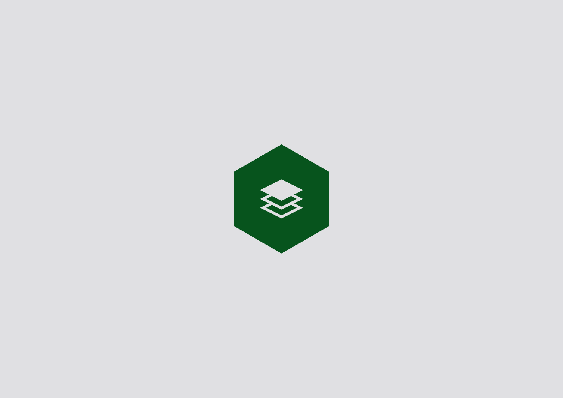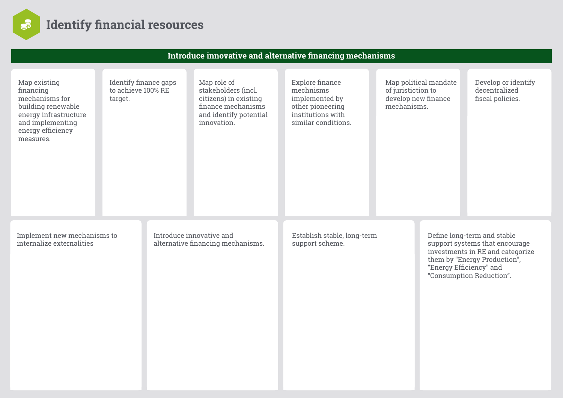$\mathbf{S}$ 

# **Identify financial resources**

| Introduce innovative and alternative financing mechanisms                                                                                        |                                                        |  |                                                                                                                            |                                                                                                                |                                   |                                              |                                                                                                                                                               |
|--------------------------------------------------------------------------------------------------------------------------------------------------|--------------------------------------------------------|--|----------------------------------------------------------------------------------------------------------------------------|----------------------------------------------------------------------------------------------------------------|-----------------------------------|----------------------------------------------|---------------------------------------------------------------------------------------------------------------------------------------------------------------|
| Map existing<br>financing<br>mechanisms for<br>building renewable<br>energy infrastructure<br>and implementing<br>energy efficiency<br>measures. | Identify finance gaps<br>to achieve 100% RE<br>target. |  | Map role of<br>stakeholders (incl.<br>citizens) in existing<br>finance mechanisms<br>and identify potential<br>innovation. | Explore finance<br>mechnisms<br>implemented by<br>other pioneering<br>institutions with<br>similar conditions. | of juristiction to<br>mechanisms. | Map political mandate<br>develop new finance | Develop or identify<br>decentralized<br>fiscal policies.                                                                                                      |
| Implement new mechanisms to<br>internalize externalities                                                                                         |                                                        |  | Introduce innovative and<br>alternative financing mechanisms.                                                              | Establish stable, long-term<br>support scheme.                                                                 |                                   | "Energy Efficiency" and                      | Define long-term and stable<br>support systems that encourage<br>investments in RE and categorize<br>them by "Energy Production",<br>"Consumption Reduction". |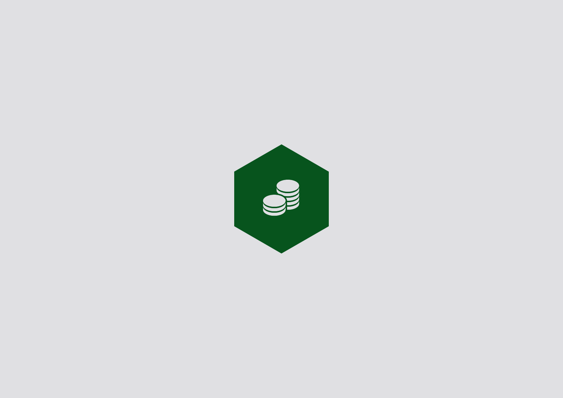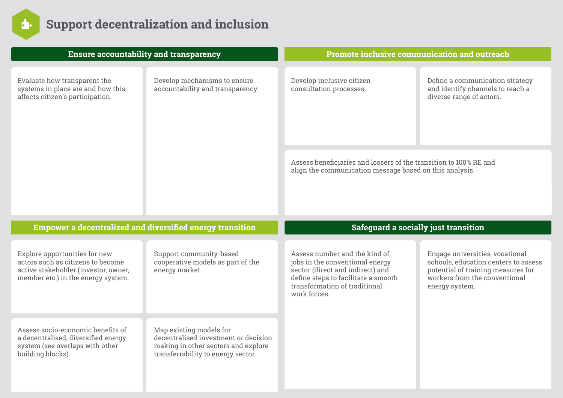

| <b>Ensure accountability and transparency</b>                                                                                                    |                                                                                | <b>Promote inclusive communication and outreach</b>                                                                                                                                          |                                                                                                                                                                  |  |  |
|--------------------------------------------------------------------------------------------------------------------------------------------------|--------------------------------------------------------------------------------|----------------------------------------------------------------------------------------------------------------------------------------------------------------------------------------------|------------------------------------------------------------------------------------------------------------------------------------------------------------------|--|--|
| Evaluate how transparent the<br>systems in place are and how this<br>affects citizen's participation.                                            | Develop mechanisms to ensure<br>accountability and transparency.               | Develop inclusive citizen<br>Define a communication strategy<br>consultation processes.<br>and identify channels to reach a<br>diverse range of actors.                                      |                                                                                                                                                                  |  |  |
|                                                                                                                                                  |                                                                                | Assess beneficiaries and loosers of the transition to 100% RE and<br>align the communication message based on this analysis.                                                                 |                                                                                                                                                                  |  |  |
| <b>Empower a decentralized and diversified energy transition</b>                                                                                 |                                                                                | Safeguard a socially just transition                                                                                                                                                         |                                                                                                                                                                  |  |  |
| Explore opportunities for new<br>actors such as citizens to become<br>active stakeholder (investor, owner,<br>member etc.) in the energy system. | Support community-based<br>cooperative models as part of the<br>energy market. | Assess number and the kind of<br>jobs in the conventional energy<br>sector (direct and indirect) and<br>define steps to facilitate a smooth<br>transformation of traditional<br>work forces. | Engage universities, vocational<br>schools, education centers to assess<br>potential of training measures for<br>workers from the conventional<br>energy system. |  |  |
| Assess socio-economic benefits of                                                                                                                |                                                                                |                                                                                                                                                                                              |                                                                                                                                                                  |  |  |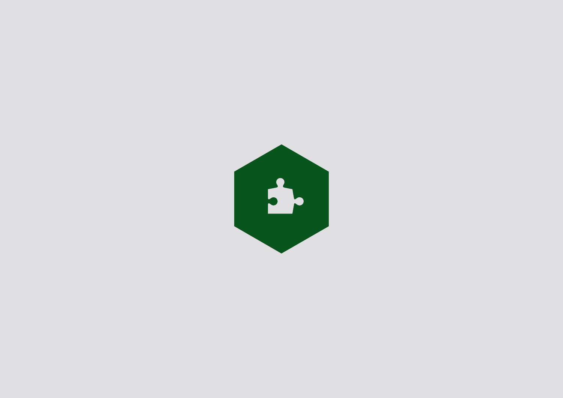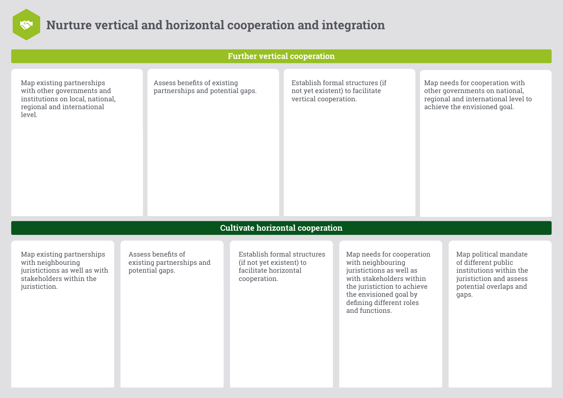#### **Nurture vertical and horizontal cooperation and integration SEPTE**

|                                                                                                                                     | <b>Further vertical cooperation</b> |                                                                    |  |                                                                                                                                                                                                                                                                                                                                                              |  |                                                                                                                                         |                                                                                                                                       |  |
|-------------------------------------------------------------------------------------------------------------------------------------|-------------------------------------|--------------------------------------------------------------------|--|--------------------------------------------------------------------------------------------------------------------------------------------------------------------------------------------------------------------------------------------------------------------------------------------------------------------------------------------------------------|--|-----------------------------------------------------------------------------------------------------------------------------------------|---------------------------------------------------------------------------------------------------------------------------------------|--|
| Map existing partnerships<br>with other governments and<br>institutions on local, national,<br>regional and international<br>level. |                                     | Assess benefits of existing<br>partnerships and potential gaps.    |  | Establish formal structures (if<br>not yet existent) to facilitate<br>vertical cooperation.                                                                                                                                                                                                                                                                  |  | Map needs for cooperation with<br>other governments on national,<br>regional and international level to<br>achieve the envisioned goal. |                                                                                                                                       |  |
|                                                                                                                                     |                                     |                                                                    |  |                                                                                                                                                                                                                                                                                                                                                              |  |                                                                                                                                         |                                                                                                                                       |  |
| Map existing partnerships<br>with neighbouring<br>juristictions as well as with<br>stakeholders within the<br>juristiction.         |                                     | Assess benefits of<br>existing partnerships and<br>potential gaps. |  | <b>Cultivate horizontal cooperation</b><br>Establish formal structures<br>Map needs for cooperation<br>with neighbouring<br>(if not yet existent) to<br>facilitate horizontal<br>juristictions as well as<br>with stakeholders within<br>cooperation.<br>the juristiction to achieve<br>the envisioned goal by<br>defining different roles<br>and functions. |  |                                                                                                                                         | Map political mandate<br>of different public<br>institutions within the<br>juristiction and assess<br>potential overlaps and<br>gaps. |  |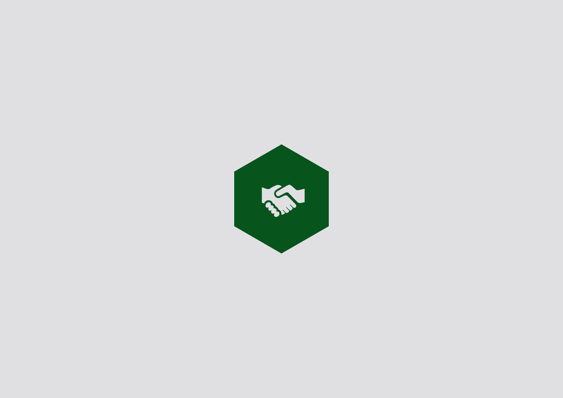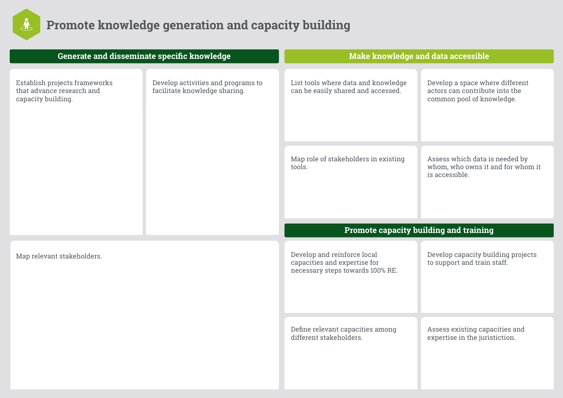

# **Promote knowledge generation and capacity building**

| Generate and disseminate specific knowledge                                      |                                                                     | Make knowledge and data accessible                                                              |                                                                                                |  |  |
|----------------------------------------------------------------------------------|---------------------------------------------------------------------|-------------------------------------------------------------------------------------------------|------------------------------------------------------------------------------------------------|--|--|
| Establish projects frameworks<br>that advance research and<br>capacity building. | Develop activities and programs to<br>facilitate knowledge sharing. | List tools where data and knowledge<br>can be easily shared and accessed.                       | Develop a space where different<br>actors can contribute into the<br>common pool of knowledge. |  |  |
|                                                                                  |                                                                     | Map role of stakeholders in existing<br>tools.                                                  | Assess which data is needed by<br>whom, who owns it and for whom it<br>is accessible.          |  |  |
|                                                                                  |                                                                     | Promote capacity building and training                                                          |                                                                                                |  |  |
| Map relevant stakeholders.                                                       |                                                                     | Develop and reinforce local<br>capacities and expertise for<br>necessary steps towards 100% RE. | Develop capacity building projects<br>to support and train staff.                              |  |  |
|                                                                                  |                                                                     | Define relevant capacities among<br>different stakeholders.                                     | Assess existing capacities and<br>expertise in the juristiction.                               |  |  |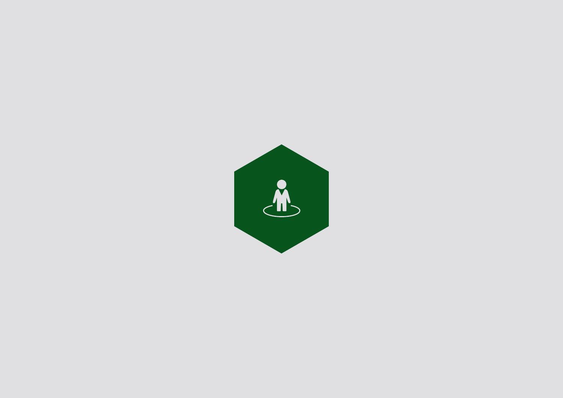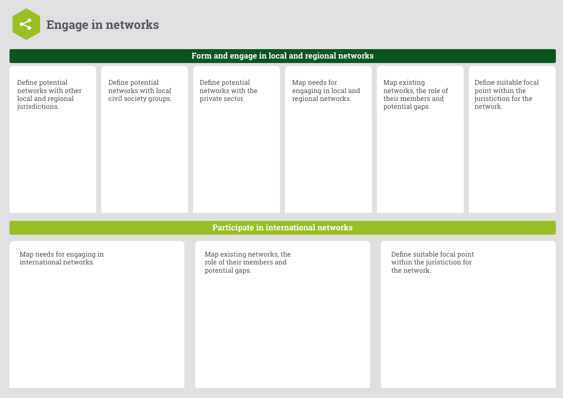

### **Engage in networks**

| Form and engage in local and regional networks                                  |                                                                  |                                                          |                                                              |                                                                               |                                                                               |  |  |
|---------------------------------------------------------------------------------|------------------------------------------------------------------|----------------------------------------------------------|--------------------------------------------------------------|-------------------------------------------------------------------------------|-------------------------------------------------------------------------------|--|--|
| Define potential<br>networks with other<br>local and regional<br>jurisdictions. | Define potential<br>networks with local<br>civil society groups. | Define potential<br>networks with the<br>private sector. | Map needs for<br>engaging in local and<br>regional networks. | Map existing<br>networks, the role of<br>their members and<br>potential gaps. | Define suitable focal<br>point within the<br>juristiction for the<br>network. |  |  |
|                                                                                 |                                                                  | しゅうしょう アイ・ファイル アイ・ファイル しょうしょう きょうしょう しょうしょ               |                                                              |                                                                               |                                                                               |  |  |

#### **Participate in international networks**

Map needs for engaging in international networks.

Map existing networks, the role of their members and potential gaps.

Define suitable focal point within the juristiction for the network.